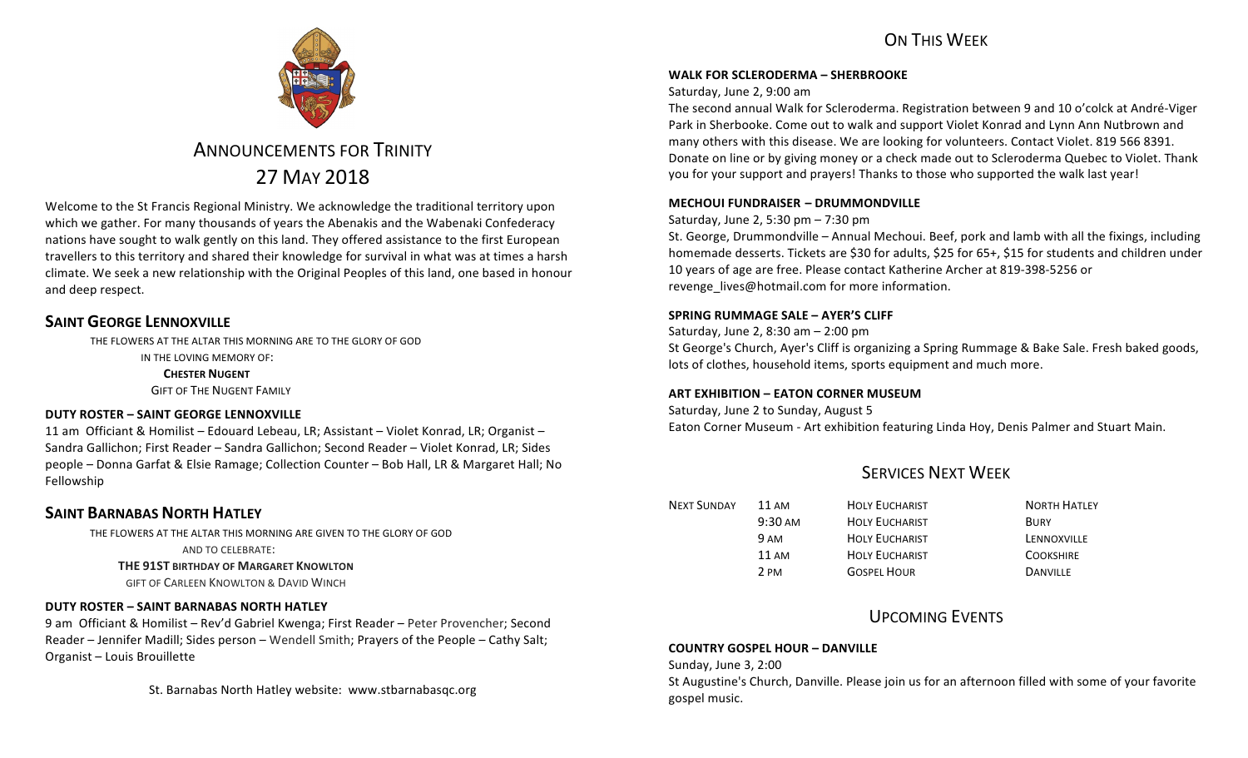## ON THIS WFFK



# **ANNOUNCEMENTS FOR TRINITY** 27 MAY 2018

Welcome to the St Francis Regional Ministry. We acknowledge the traditional territory upon which we gather. For many thousands of years the Abenakis and the Wabenaki Confederacy nations have sought to walk gently on this land. They offered assistance to the first European travellers to this territory and shared their knowledge for survival in what was at times a harsh climate. We seek a new relationship with the Original Peoples of this land, one based in honour and deep respect.

## **SAINT GEORGE LENNOXVILLE**

THE FLOWERS AT THE ALTAR THIS MORNING ARE TO THE GLORY OF GOD IN THE LOVING MEMORY OF: **CHESTER NUGENT GIFT OF THE NUGENT FAMILY** 

## **DUTY ROSTER – SAINT GEORGE LENNOXVILLE**

11 am Officiant & Homilist - Edouard Lebeau, LR; Assistant - Violet Konrad, LR; Organist -Sandra Gallichon; First Reader – Sandra Gallichon; Second Reader – Violet Konrad, LR; Sides people – Donna Garfat & Elsie Ramage; Collection Counter – Bob Hall, LR & Margaret Hall; No Fellowship

## **SAINT BARNABAS NORTH HATLEY**

THE FLOWERS AT THE ALTAR THIS MORNING ARE GIVEN TO THE GLORY OF GOD

AND TO CELEBRATE:

**THE 91ST BIRTHDAY OF MARGARET KNOWLTON** 

**GIFT OF CARLEEN KNOWLTON & DAVID WINCH** 

## **DUTY ROSTER – SAINT BARNABAS NORTH HATLEY**

9 am Officiant & Homilist – Rev'd Gabriel Kwenga; First Reader – Peter Provencher; Second Reader – Jennifer Madill; Sides person – Wendell Smith; Prayers of the People – Cathy Salt; Organist - Louis Brouillette

St. Barnabas North Hatley website: www.stbarnabasqc.org

### **WALK FOR SCLERODERMA – SHERBROOKE**

### Saturday, June 2, 9:00 am

The second annual Walk for Scleroderma. Registration between 9 and 10 o'colck at André-Viger Park in Sherbooke. Come out to walk and support Violet Konrad and Lynn Ann Nutbrown and many others with this disease. We are looking for volunteers. Contact Violet. 819 566 8391. Donate on line or by giving money or a check made out to Scleroderma Quebec to Violet. Thank you for your support and prayers! Thanks to those who supported the walk last year!

### **MECHOUI FUNDRAISER – DRUMMONDVILLE**

### Saturday, June 2, 5:30 pm  $- 7:30$  pm

St. George, Drummondville - Annual Mechoui. Beef, pork and lamb with all the fixings, including homemade desserts. Tickets are \$30 for adults, \$25 for 65+, \$15 for students and children under 10 years of age are free. Please contact Katherine Archer at 819-398-5256 or revenge lives@hotmail.com for more information.

### **SPRING RUMMAGE SALE – AYER'S CLIFF**

Saturday, June 2, 8:30 am – 2:00 pm

St George's Church, Ayer's Cliff is organizing a Spring Rummage & Bake Sale. Fresh baked goods, lots of clothes, household items, sports equipment and much more.

### **ART EXHIBITION – EATON CORNER MUSEUM**

Saturday, June 2 to Sunday, August 5

Eaton Corner Museum - Art exhibition featuring Linda Hoy, Denis Palmer and Stuart Main.

# SERVICES NEXT WEEK

| <b>NEXT SUNDAY</b> | 11 AM             | <b>HOLY EUCHARIST</b> | <b>NORTH HATLEY</b> |
|--------------------|-------------------|-----------------------|---------------------|
|                    | $9:30 \text{ AM}$ | <b>HOLY EUCHARIST</b> | <b>BURY</b>         |
|                    | 9 AM              | <b>HOLY EUCHARIST</b> | LENNOXVILLE         |
|                    | $11 \text{ AM}$   | <b>HOLY EUCHARIST</b> | <b>COOKSHIRE</b>    |
|                    | 2 PM              | <b>GOSPEL HOUR</b>    | <b>DANVILLE</b>     |

## **UPCOMING EVENTS**

## **COUNTRY GOSPEL HOUR – DANVILLE**

Sunday, June 3, 2:00

St Augustine's Church, Danville. Please join us for an afternoon filled with some of your favorite gospel music.